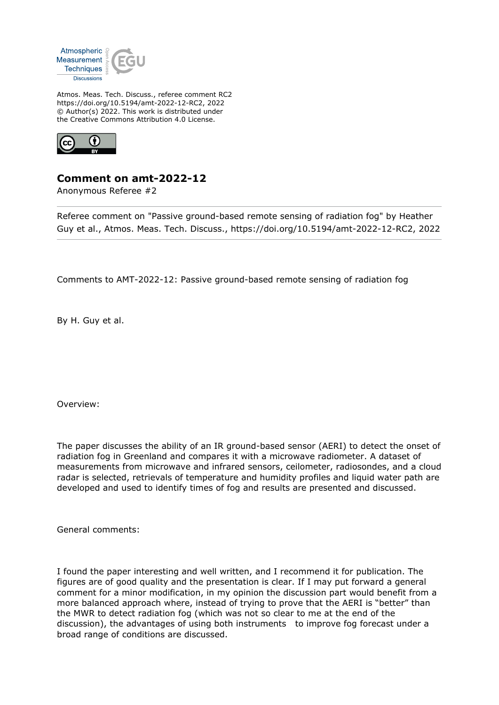

Atmos. Meas. Tech. Discuss., referee comment RC2 https://doi.org/10.5194/amt-2022-12-RC2, 2022 © Author(s) 2022. This work is distributed under the Creative Commons Attribution 4.0 License.



## **Comment on amt-2022-12**

Anonymous Referee #2

Referee comment on "Passive ground-based remote sensing of radiation fog" by Heather Guy et al., Atmos. Meas. Tech. Discuss., https://doi.org/10.5194/amt-2022-12-RC2, 2022

Comments to AMT-2022-12: Passive ground-based remote sensing of radiation fog

By H. Guy et al.

Overview:

The paper discusses the ability of an IR ground-based sensor (AERI) to detect the onset of radiation fog in Greenland and compares it with a microwave radiometer. A dataset of measurements from microwave and infrared sensors, ceilometer, radiosondes, and a cloud radar is selected, retrievals of temperature and humidity profiles and liquid water path are developed and used to identify times of fog and results are presented and discussed.

General comments:

I found the paper interesting and well written, and I recommend it for publication. The figures are of good quality and the presentation is clear. If I may put forward a general comment for a minor modification, in my opinion the discussion part would benefit from a more balanced approach where, instead of trying to prove that the AERI is "better" than the MWR to detect radiation fog (which was not so clear to me at the end of the discussion), the advantages of using both instruments to improve fog forecast under a broad range of conditions are discussed.